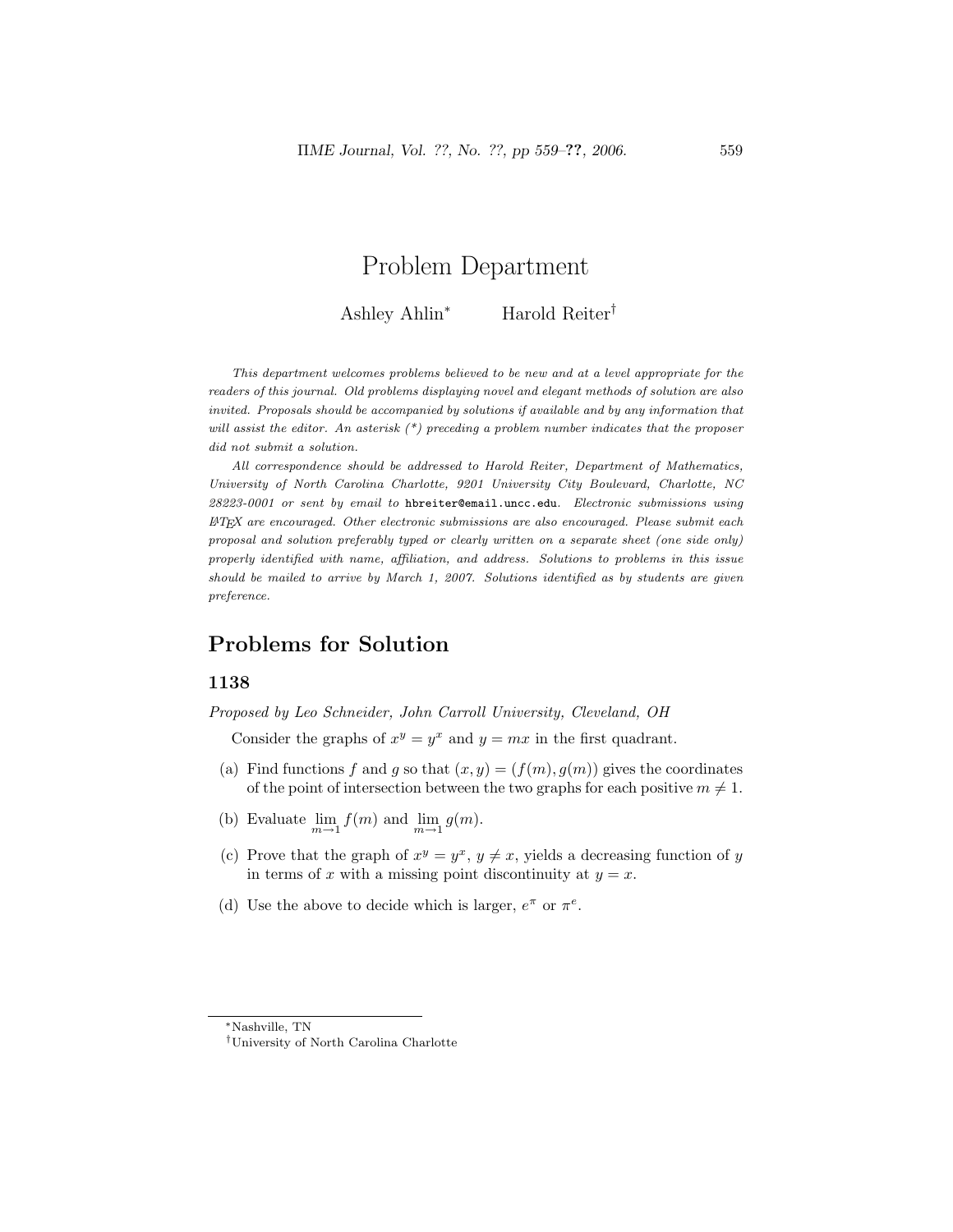# Problem Department

Ashley Ahlin<sup>∗</sup> Harold Reiter†

This department welcomes problems believed to be new and at a level appropriate for the readers of this journal. Old problems displaying novel and elegant methods of solution are also invited. Proposals should be accompanied by solutions if available and by any information that will assist the editor. An asterisk  $(*)$  preceding a problem number indicates that the proposer did not submit a solution.

All correspondence should be addressed to Harold Reiter, Department of Mathematics, University of North Carolina Charlotte, 9201 University City Boulevard, Charlotte, NC 28223-0001 or sent by email to hbreiter@email.uncc.edu. Electronic submissions using  $\mu_{T}$  are encouraged. Other electronic submissions are also encouraged. Please submit each proposal and solution preferably typed or clearly written on a separate sheet (one side only) properly identified with name, affiliation, and address. Solutions to problems in this issue should be mailed to arrive by March 1, 2007. Solutions identified as by students are given preference.

# Problems for Solution

# 1138

Proposed by Leo Schneider, John Carroll University, Cleveland, OH

Consider the graphs of  $x^y = y^x$  and  $y = mx$  in the first quadrant.

- (a) Find functions f and g so that  $(x, y) = (f(m), g(m))$  gives the coordinates of the point of intersection between the two graphs for each positive  $m \neq 1$ .
- (b) Evaluate  $\lim_{m \to 1} f(m)$  and  $\lim_{m \to 1} g(m)$ .
- (c) Prove that the graph of  $x^y = y^x$ ,  $y \neq x$ , yields a decreasing function of y in terms of x with a missing point discontinuity at  $y = x$ .
- (d) Use the above to decide which is larger,  $e^{\pi}$  or  $\pi^{e}$ .

<sup>∗</sup>Nashville, TN

<sup>†</sup>University of North Carolina Charlotte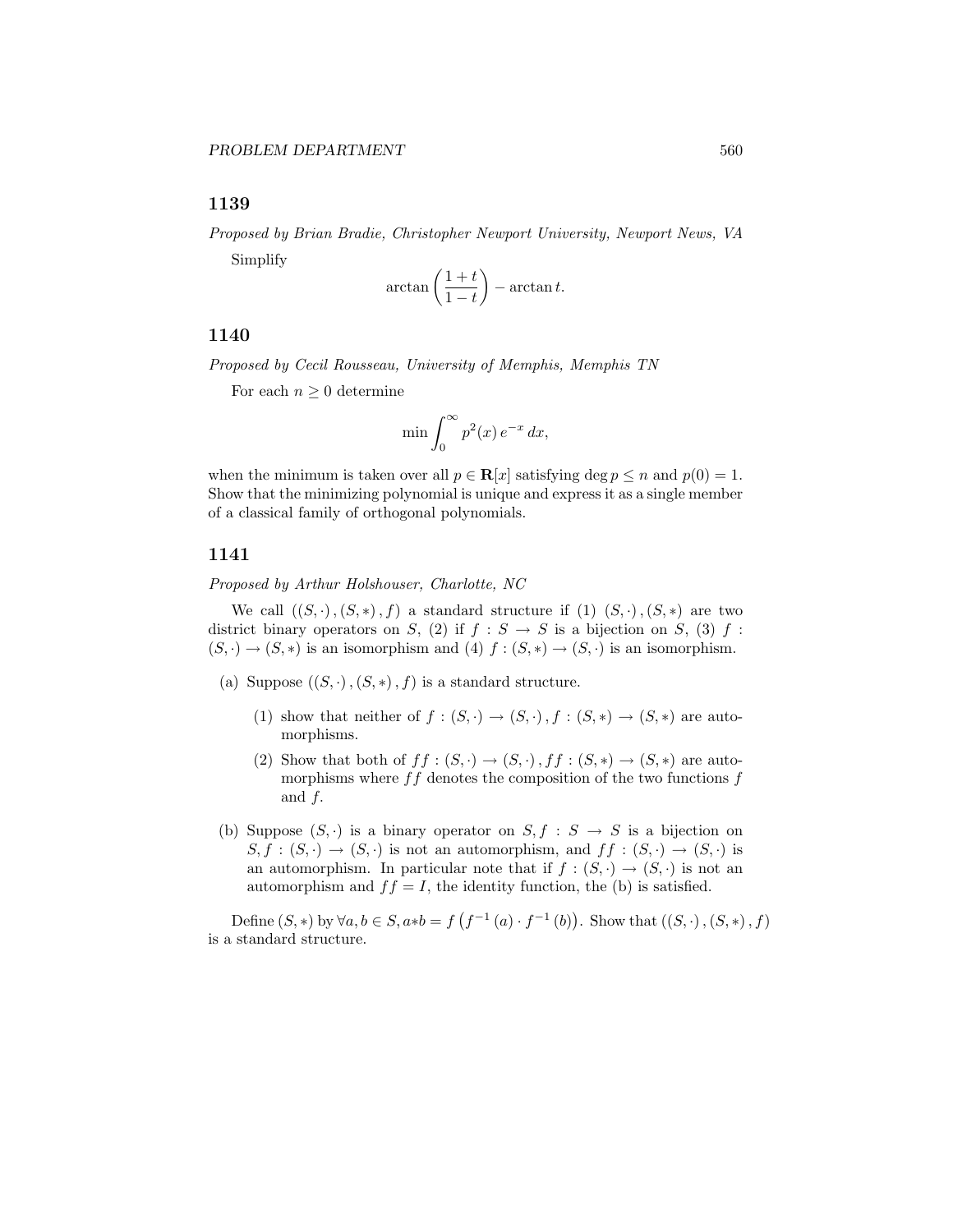# 1139

Proposed by Brian Bradie, Christopher Newport University, Newport News, VA Simplify  $\mathbf{r}$ 

$$
\arctan\left(\frac{1+t}{1-t}\right) - \arctan t.
$$

# 1140

Proposed by Cecil Rousseau, University of Memphis, Memphis TN

For each  $n \geq 0$  determine

$$
\min \int_0^\infty p^2(x) e^{-x} dx,
$$

when the minimum is taken over all  $p \in \mathbf{R}[x]$  satisfying deg  $p \leq n$  and  $p(0) = 1$ . Show that the minimizing polynomial is unique and express it as a single member of a classical family of orthogonal polynomials.

# 1141

Proposed by Arthur Holshouser, Charlotte, NC

We call  $((S, \cdot), (S, *), f)$  a standard structure if  $(1)$   $(S, \cdot), (S, *)$  are two district binary operators on S, (2) if  $f : S \to S$  is a bijection on S, (3) f:  $(S, \cdot) \to (S, *)$  is an isomorphism and (4)  $f : (S, *) \to (S, \cdot)$  is an isomorphism.

- (a) Suppose  $((S, \cdot), (S, *)$ , f) is a standard structure.
	- (1) show that neither of  $f:(S,\cdot)\to (S,\cdot), f:(S,\ast)\to (S,\ast)$  are automorphisms.
	- (2) Show that both of  $ff : (S, \cdot) \to (S, \cdot)$ ,  $ff : (S, *) \to (S, *)$  are automorphisms where  $ff$  denotes the composition of the two functions  $f$ and f.
- (b) Suppose  $(S, \cdot)$  is a binary operator on  $S, f : S \to S$  is a bijection on  $S, f : (S, \cdot) \to (S, \cdot)$  is not an automorphism, and  $ff : (S, \cdot) \to (S, \cdot)$  is an automorphism. In particular note that if  $f : (S, \cdot) \to (S, \cdot)$  is not an automorphism and  $ff = I$ , the identity function, the (b) is satisfied.

Define  $(S, *)$  by  $\forall a, b \in S$ ,  $a * b = f$ ¡  $f^{-1}(a) \cdot f^{-1}(b)$ ¢ . Show that  $((S, \cdot), (S, *)$ ,  $f)$ is a standard structure.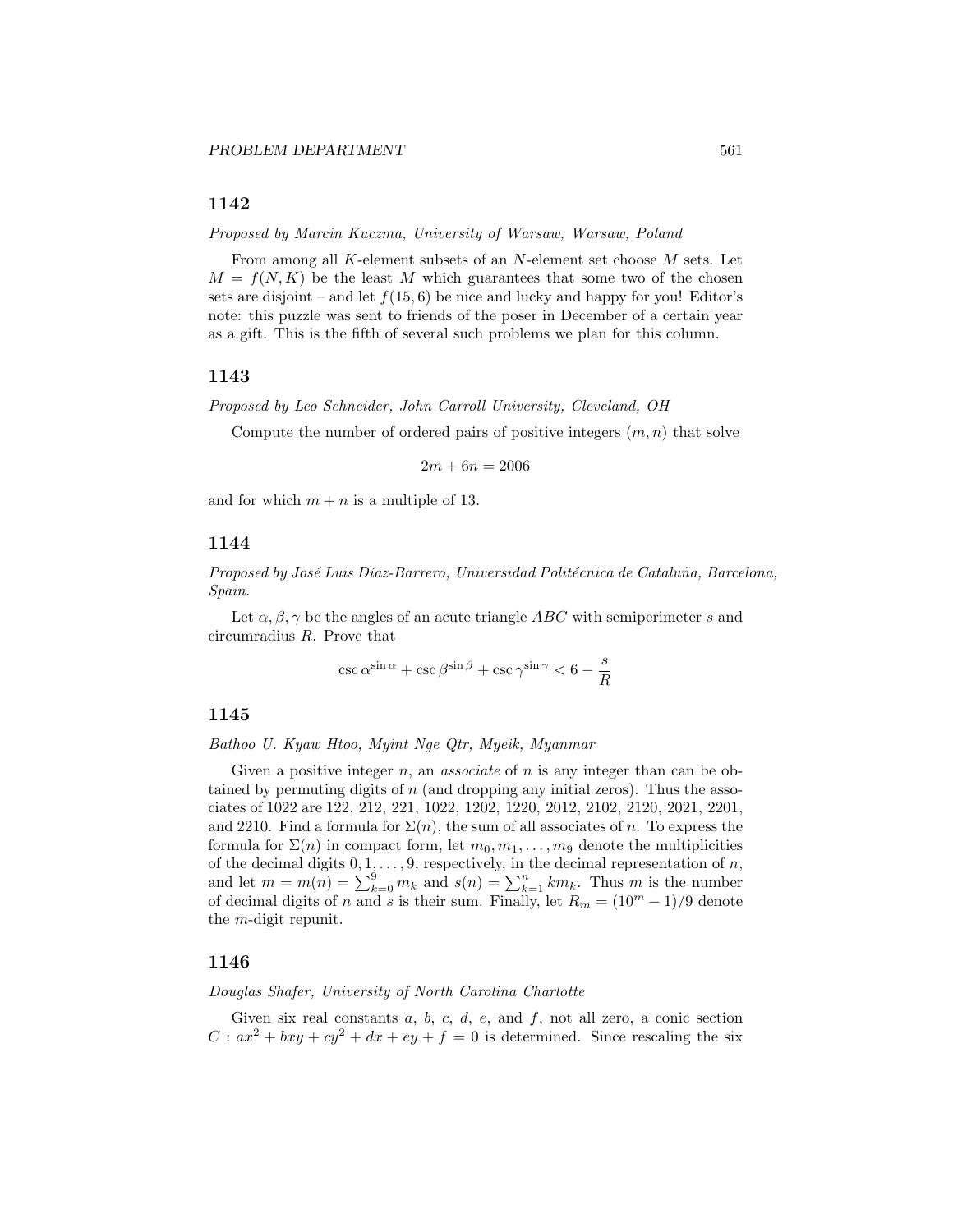# 1142

Proposed by Marcin Kuczma, University of Warsaw, Warsaw, Poland

From among all K-element subsets of an N-element set choose M sets. Let  $M = f(N, K)$  be the least M which guarantees that some two of the chosen sets are disjoint – and let  $f(15, 6)$  be nice and lucky and happy for you! Editor's note: this puzzle was sent to friends of the poser in December of a certain year as a gift. This is the fifth of several such problems we plan for this column.

#### 1143

Proposed by Leo Schneider, John Carroll University, Cleveland, OH

Compute the number of ordered pairs of positive integers  $(m, n)$  that solve

$$
2m + 6n = 2006
$$

and for which  $m + n$  is a multiple of 13.

# 1144

Proposed by José Luis Díaz-Barrero, Universidad Politécnica de Cataluña, Barcelona, Spain.

Let  $\alpha, \beta, \gamma$  be the angles of an acute triangle ABC with semiperimeter s and circumradius R. Prove that

$$
\csc \alpha^{\sin \alpha} + \csc \beta^{\sin \beta} + \csc \gamma^{\sin \gamma} < 6 - \frac{s}{R}
$$

#### 1145

Bathoo U. Kyaw Htoo, Myint Nge Qtr, Myeik, Myanmar

Given a positive integer  $n$ , an *associate* of  $n$  is any integer than can be obtained by permuting digits of  $n$  (and dropping any initial zeros). Thus the associates of 1022 are 122, 212, 221, 1022, 1202, 1220, 2012, 2102, 2120, 2021, 2201, and 2210. Find a formula for  $\Sigma(n)$ , the sum of all associates of n. To express the formula for  $\Sigma(n)$  in compact form, let  $m_0, m_1, \ldots, m_9$  denote the multiplicities of the decimal digits  $0, 1, ..., 9$ , respectively, in the decimal representation of *n*, and let  $m = m(n) = \sum_{k=0}^{9} m_k$  and  $s(n) = \sum_{k=1}^{n} km_k$ . Thus *m* is the number of decimal digits of n and s is their sum. Finally, let  $R_m = (10^m - 1)/9$  denote the m-digit repunit.

# 1146

Douglas Shafer, University of North Carolina Charlotte

Given six real constants  $a, b, c, d, e$ , and  $f$ , not all zero, a conic section  $C: ax^2 + bxy + cy^2 + dx + ey + f = 0$  is determined. Since rescaling the six